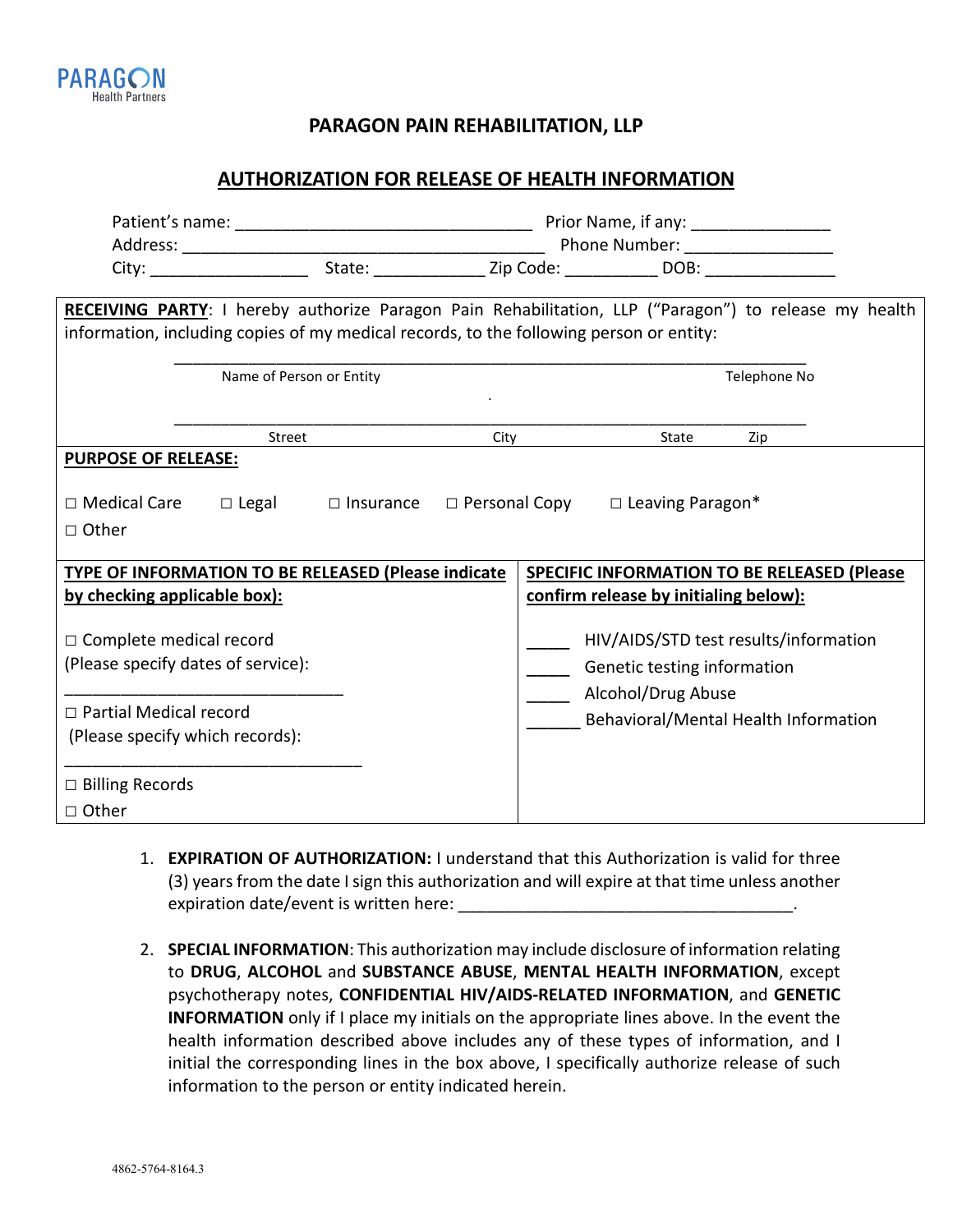

**PARAGON PAIN REHABILITATION, LLP**

## **AUTHORIZATION FOR RELEASE OF HEALTH INFORMATION**

| RECEIVING PARTY: I hereby authorize Paragon Pain Rehabilitation, LLP ("Paragon") to release my health<br>information, including copies of my medical records, to the following person or entity: |                          |  |      |                                                                                                                                    |              |     |  |  |
|--------------------------------------------------------------------------------------------------------------------------------------------------------------------------------------------------|--------------------------|--|------|------------------------------------------------------------------------------------------------------------------------------------|--------------|-----|--|--|
|                                                                                                                                                                                                  | Name of Person or Entity |  |      |                                                                                                                                    | Telephone No |     |  |  |
|                                                                                                                                                                                                  | Street                   |  | City |                                                                                                                                    | State        | Zip |  |  |
| <b>PURPOSE OF RELEASE:</b><br>$\Box$ Medical Care $\Box$ Legal $\Box$ Insurance $\Box$ Personal Copy $\Box$ Leaving Paragon*<br>$\Box$ Other                                                     |                          |  |      |                                                                                                                                    |              |     |  |  |
| TYPE OF INFORMATION TO BE RELEASED (Please indicate<br>by checking applicable box):                                                                                                              |                          |  |      | <b>SPECIFIC INFORMATION TO BE RELEASED (Please)</b><br>confirm release by initialing below):                                       |              |     |  |  |
| $\Box$ Complete medical record<br>(Please specify dates of service):                                                                                                                             |                          |  |      | HIV/AIDS/STD test results/information<br>Genetic testing information<br>Alcohol/Drug Abuse<br>Behavioral/Mental Health Information |              |     |  |  |
| $\Box$ Partial Medical record<br>(Please specify which records):                                                                                                                                 |                          |  |      |                                                                                                                                    |              |     |  |  |
| $\Box$ Billing Records<br>□ Other                                                                                                                                                                |                          |  |      |                                                                                                                                    |              |     |  |  |

- 1. **EXPIRATION OF AUTHORIZATION:** I understand that this Authorization is valid for three (3) years from the date I sign this authorization and will expire at that time unless another expiration date/event is written here:
- 2. **SPECIAL INFORMATION**: This authorization may include disclosure of information relating to **DRUG**, **ALCOHOL** and **SUBSTANCE ABUSE**, **MENTAL HEALTH INFORMATION**, except psychotherapy notes, **CONFIDENTIAL HIV/AIDS-RELATED INFORMATION**, and **GENETIC INFORMATION** only if I place my initials on the appropriate lines above. In the event the health information described above includes any of these types of information, and I initial the corresponding lines in the box above, I specifically authorize release of such information to the person or entity indicated herein.